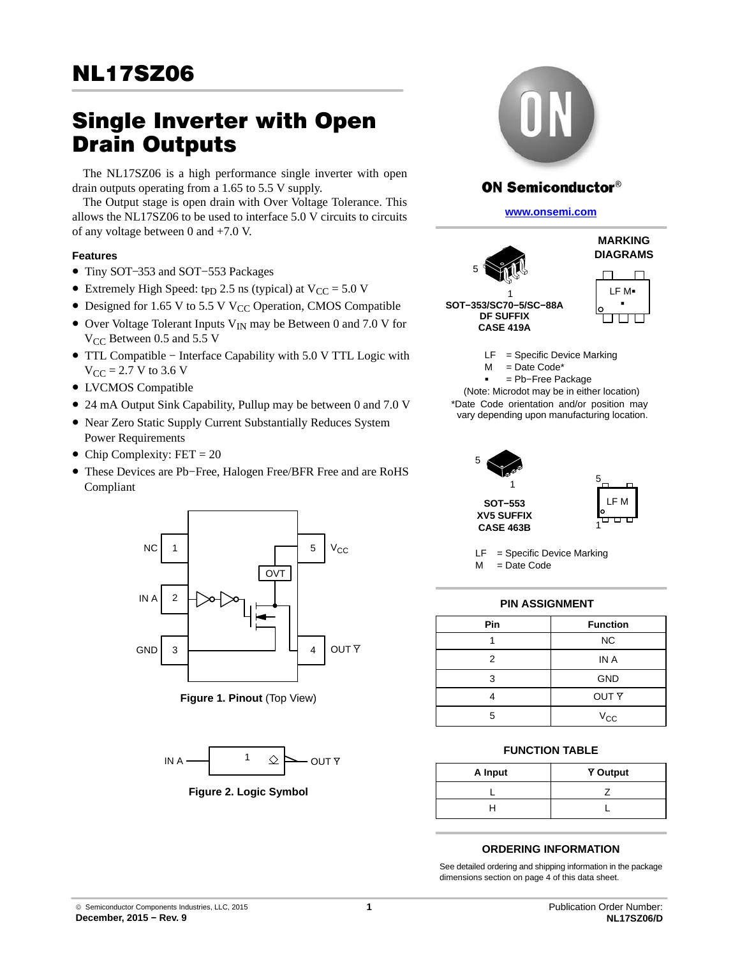# **Single Inverter with Open<br>Drain Outputs**

The NL17SZ06 is a high performance single inverter with open drain outputs operating from a 1.65 to 5.5 V supply.

The Output stage is open drain with Over Voltage Tolerance. This allows the NL17SZ06 to be used to interface 5.0 V circuits to circuits of any voltage between 0 and +7.0 V.

## **Features**

- Tiny SOT−353 and SOT−553 Packages
- Extremely High Speed: t<sub>PD</sub> 2.5 ns (typical) at  $V_{CC} = 5.0 V$
- Designed for 1.65 V to 5.5 V V<sub>CC</sub> Operation, CMOS Compatible
- Over Voltage Tolerant Inputs  $V_{IN}$  may be Between 0 and 7.0 V for  $V_{CC}$  Between 0.5 and 5.5 V
- TTL Compatible − Interface Capability with 5.0 V TTL Logic with  $V_{CC} = 2.7 V$  to 3.6 V
- LVCMOS Compatible
- 24 mA Output Sink Capability, Pullup may be between 0 and 7.0 V
- Near Zero Static Supply Current Substantially Reduces System Power Requirements
- Chip Complexity:  $FET = 20$
- These Devices are Pb−Free, Halogen Free/BFR Free and are RoHS Compliant



**Figure 1. Pinout** (Top View)



**Figure 2. Logic Symbol**



# **ON Semiconductor®**

**[www.onsemi.com]( http://www.onsemi.com/)**



 $LF = Specific Device$  Marking = Date Code\*  $\mathsf{M}$ 

 = Pb−Free Package (Note: Microdot may be in either location) \*Date Code orientation and/or position may

vary depending upon manufacturing location.



LF = Specific Device Marking  $M =$ Date Code

## **PIN ASSIGNMENT**

| Pin | <b>Function</b>  |
|-----|------------------|
|     | <b>NC</b>        |
| 2   | IN A             |
| з   | <b>GND</b>       |
|     | OUT <sub>Y</sub> |
| г,  | $V_{\rm CC}$     |

## **FUNCTION TABLE**

| A Input | <b>Y</b> Output |  |  |
|---------|-----------------|--|--|
|         |                 |  |  |
|         |                 |  |  |

#### **ORDERING INFORMATION**

See detailed ordering and shipping information in the package dimensions section on page [4](#page-3-0) of this data sheet.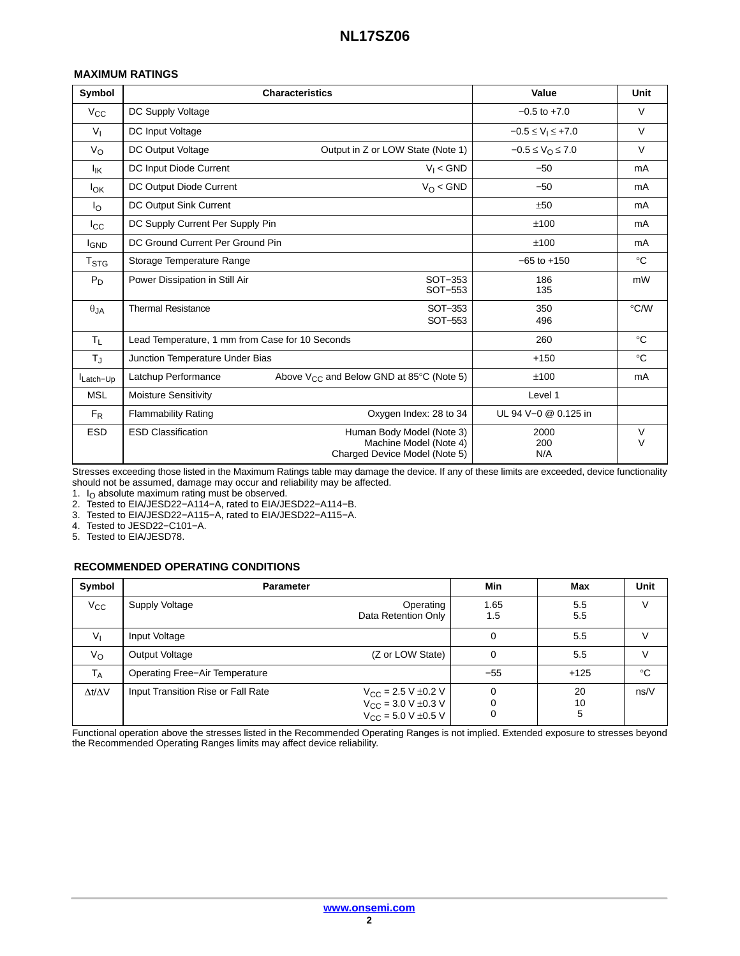#### **MAXIMUM RATINGS**

| Symbol                      | <b>Characteristics</b>                          | Value                                                                                | Unit                   |             |  |
|-----------------------------|-------------------------------------------------|--------------------------------------------------------------------------------------|------------------------|-------------|--|
| $V_{\rm CC}$                | DC Supply Voltage                               |                                                                                      | $-0.5$ to $+7.0$       | V           |  |
| $V_{\rm L}$                 | DC Input Voltage                                |                                                                                      |                        |             |  |
| $V_{\rm O}$                 | DC Output Voltage                               | Output in Z or LOW State (Note 1)                                                    | $-0.5 \le V_O \le 7.0$ | $\vee$      |  |
| lικ                         | DC Input Diode Current                          | $V_1 <$ GND                                                                          | $-50$                  | mA          |  |
| lok                         | DC Output Diode Current                         | $V_O <$ GND                                                                          | $-50$                  | mA          |  |
| Ιo                          | DC Output Sink Current                          |                                                                                      | ±50                    | mA          |  |
| $_{\rm lcc}$                | DC Supply Current Per Supply Pin                |                                                                                      | ±100                   | mA          |  |
| <sup>I</sup> GND            | DC Ground Current Per Ground Pin                | ±100                                                                                 | mA                     |             |  |
| $\mathsf{T}_{\textsf{STG}}$ | Storage Temperature Range                       |                                                                                      | $-65$ to $+150$        | $^{\circ}C$ |  |
| $P_D$                       | Power Dissipation in Still Air                  | SOT-353<br>SOT-553                                                                   | 186<br>135             | mW          |  |
| $\theta$ JA                 | <b>Thermal Resistance</b><br>SOT-353<br>SOT-553 |                                                                                      | 350<br>496             | °C/W        |  |
| $T_L$                       | Lead Temperature, 1 mm from Case for 10 Seconds |                                                                                      | 260                    | $^{\circ}C$ |  |
| $T_{\rm J}$                 | Junction Temperature Under Bias                 |                                                                                      | $+150$                 | $^{\circ}C$ |  |
| Latch-Up                    | Latchup Performance                             | Above $V_{CC}$ and Below GND at 85 $\degree$ C (Note 5)                              | ±100                   | mA          |  |
| <b>MSL</b>                  | <b>Moisture Sensitivity</b>                     |                                                                                      | Level 1                |             |  |
| $F_R$                       | <b>Flammability Rating</b>                      | Oxygen Index: 28 to 34                                                               | UL 94 V-0 @ 0.125 in   |             |  |
| <b>ESD</b>                  | <b>ESD Classification</b>                       | Human Body Model (Note 3)<br>Machine Model (Note 4)<br>Charged Device Model (Note 5) | 2000<br>200<br>N/A     | V<br>$\vee$ |  |

Stresses exceeding those listed in the Maximum Ratings table may damage the device. If any of these limits are exceeded, device functionality should not be assumed, damage may occur and reliability may be affected.

1.  $I<sub>O</sub>$  absolute maximum rating must be observed.

2. Tested to EIA/JESD22−A114−A, rated to EIA/JESD22−A114−B.

3. Tested to EIA/JESD22−A115−A, rated to EIA/JESD22−A115−A.

4. Tested to JESD22−C101−A.

5. Tested to EIA/JESD78.

#### **RECOMMENDED OPERATING CONDITIONS**

| Symbol              | <b>Parameter</b>                      | Min                                                                                     | Max         | Unit          |             |
|---------------------|---------------------------------------|-----------------------------------------------------------------------------------------|-------------|---------------|-------------|
| $V_{\rm CC}$        | <b>Supply Voltage</b>                 | Operating<br>Data Retention Only                                                        | 1.65<br>1.5 | 5.5<br>5.5    |             |
| $V_{I}$             | Input Voltage                         |                                                                                         |             | 5.5           |             |
| $V_{\rm O}$         | Output Voltage                        | (Z or LOW State)                                                                        |             | 5.5           |             |
| <b>TA</b>           | <b>Operating Free-Air Temperature</b> |                                                                                         | $-55$       | $+125$        | $^{\circ}C$ |
| $\Delta t/\Delta V$ | Input Transition Rise or Fall Rate    | $V_{CC}$ = 2.5 V $\pm$ 0.2 V<br>$V_{CC}$ = 3.0 V $\pm$ 0.3 V<br>$V_{CC}$ = 5.0 V ±0.5 V |             | 20<br>10<br>5 | ns/V        |

Functional operation above the stresses listed in the Recommended Operating Ranges is not implied. Extended exposure to stresses beyond the Recommended Operating Ranges limits may affect device reliability.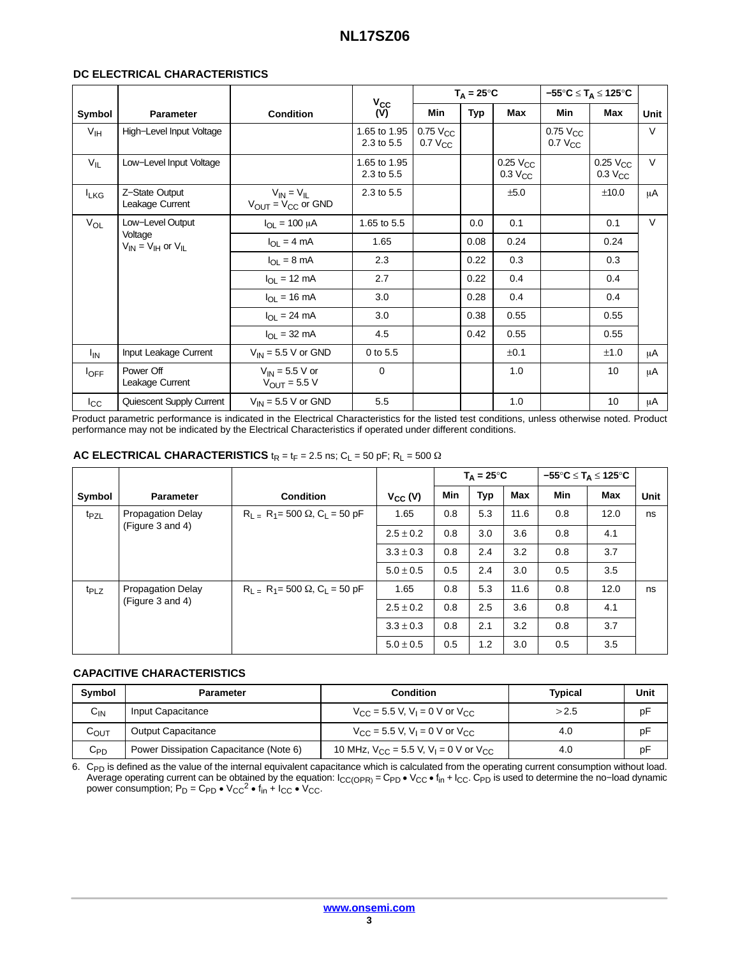#### **DC ELECTRICAL CHARACTERISTICS**

|                       |                                          |                                                 |                            | $T_A = 25^{\circ}C$             |            |                                        | $-55^{\circ}$ C $\leq$ T <sub>A</sub> $\leq$ 125°C |                                        |        |
|-----------------------|------------------------------------------|-------------------------------------------------|----------------------------|---------------------------------|------------|----------------------------------------|----------------------------------------------------|----------------------------------------|--------|
| Symbol                | <b>Parameter</b>                         | <b>Condition</b>                                | $V_{\rm CC}$<br>(V)        | Min                             | <b>Typ</b> | <b>Max</b>                             | Min                                                | Max                                    | Unit   |
| V <sub>IH</sub>       | High-Level Input Voltage                 |                                                 | 1.65 to 1.95<br>2.3 to 5.5 | $0.75$ $V_{CC}$<br>$0.7 V_{CC}$ |            |                                        | $0.75$ $V_{CC}$<br>$0.7 V_{CC}$                    |                                        | $\vee$ |
| $V_{IL}$              | Low-Level Input Voltage                  |                                                 | 1.65 to 1.95<br>2.3 to 5.5 |                                 |            | $0.25$ $V_{CC}$<br>0.3 V <sub>CC</sub> |                                                    | $0.25$ $V_{CC}$<br>0.3 V <sub>CC</sub> | $\vee$ |
| <b>LKG</b>            | Z-State Output<br>Leakage Current        | $V_{IN} = V_{IL}$<br>$V_{OUT} = V_{CC}$ or GND  | 2.3 to 5.5                 |                                 |            | ±5.0                                   |                                                    | ±10.0                                  | μA     |
| V <sub>OL</sub>       | Low-Level Output                         | $I_{OL}$ = 100 µA                               | 1.65 to 5.5                |                                 | 0.0        | 0.1                                    |                                                    | 0.1                                    | $\vee$ |
|                       | Voltage<br>$V_{IN} = V_{IH}$ or $V_{IL}$ | $I_{\Omega I} = 4 \text{ mA}$                   | 1.65                       |                                 | 0.08       | 0.24                                   |                                                    | 0.24                                   |        |
|                       |                                          | $I_{OL} = 8 \text{ mA}$                         | 2.3                        |                                 | 0.22       | 0.3                                    |                                                    | 0.3                                    |        |
|                       |                                          | $I_{OL}$ = 12 mA                                | 2.7                        |                                 | 0.22       | 0.4                                    |                                                    | 0.4                                    |        |
|                       |                                          | $I_{\Omega I} = 16 \text{ mA}$                  | 3.0                        |                                 | 0.28       | 0.4                                    |                                                    | 0.4                                    |        |
|                       |                                          | $I_{\Omega I}$ = 24 mA                          | 3.0                        |                                 | 0.38       | 0.55                                   |                                                    | 0.55                                   |        |
|                       |                                          | $I_{OL}$ = 32 mA                                | 4.5                        |                                 | 0.42       | 0.55                                   |                                                    | 0.55                                   |        |
| <b>I<sub>IN</sub></b> | Input Leakage Current                    | $V_{IN}$ = 5.5 V or GND                         | 0 to 5.5                   |                                 |            | ±0.1                                   |                                                    | ±1.0                                   | μA     |
| $I_{\text{OFF}}$      | Power Off<br>Leakage Current             | $V_{IN}$ = 5.5 V or<br>$V_{\text{OUT}} = 5.5 V$ | $\mathbf 0$                |                                 |            | 1.0                                    |                                                    | 10                                     | μA     |
| $I_{\rm CC}$          | Quiescent Supply Current                 | $V_{IN}$ = 5.5 V or GND                         | 5.5                        |                                 |            | 1.0                                    |                                                    | 10                                     | μA     |

Product parametric performance is indicated in the Electrical Characteristics for the listed test conditions, unless otherwise noted. Product performance may not be indicated by the Electrical Characteristics if operated under different conditions.

#### **AC ELECTRICAL CHARACTERISTICS**  $t_R = t_F = 2.5$  ns;  $C_L = 50$  pF;  $R_L = 500 \Omega$

|                  |                          |                                          |               | $T_{\Delta} = 25^{\circ}C$ |            | –55°C ≤ T <sub>A</sub> ≤ 125°C |     |            |      |
|------------------|--------------------------|------------------------------------------|---------------|----------------------------|------------|--------------------------------|-----|------------|------|
| Symbol           | <b>Parameter</b>         | <b>Condition</b>                         | $V_{CC} (V)$  | <b>Min</b>                 | <b>Typ</b> | <b>Max</b>                     | Min | <b>Max</b> | Unit |
| t <sub>PZL</sub> | <b>Propagation Delay</b> | $R_1 = R_1 = 500 \Omega$ , $C_1 = 50 pF$ | 1.65          | 0.8                        | 5.3        | 11.6                           | 0.8 | 12.0       | ns   |
|                  | (Figure 3 and 4)         |                                          | $2.5 \pm 0.2$ | 0.8                        | 3.0        | 3.6                            | 0.8 | 4.1        |      |
|                  |                          |                                          | $3.3 \pm 0.3$ | 0.8                        | 2.4        | 3.2                            | 0.8 | 3.7        |      |
|                  |                          |                                          | $5.0 \pm 0.5$ | 0.5                        | 2.4        | 3.0                            | 0.5 | 3.5        |      |
| $t_{PLZ}$        | <b>Propagation Delay</b> | $R_1 = R_1 = 500 \Omega$ , $C_1 = 50 pF$ | 1.65          | 0.8                        | 5.3        | 11.6                           | 0.8 | 12.0       | ns   |
|                  | (Figure 3 and 4)         |                                          | $2.5 \pm 0.2$ | 0.8                        | 2.5        | 3.6                            | 0.8 | 4.1        |      |
|                  |                          |                                          | $3.3 \pm 0.3$ | 0.8                        | 2.1        | 3.2                            | 0.8 | 3.7        |      |
|                  |                          |                                          | $5.0 \pm 0.5$ | 0.5                        | 1.2        | 3.0                            | 0.5 | 3.5        |      |

#### **CAPACITIVE CHARACTERISTICS**

| <b>Symbol</b>    | <b>Parameter</b>                       | <b>Condition</b>                                                  | Typical | Unit |
|------------------|----------------------------------------|-------------------------------------------------------------------|---------|------|
| $C_{IN}$         | Input Capacitance                      | $V_{\rm CC}$ = 5.5 V, V <sub>1</sub> = 0 V or V <sub>CC</sub>     | >2.5    | pF   |
| С <sub>ОUТ</sub> | <b>Output Capacitance</b>              | $V_{\text{CC}} = 5.5$ V, $V_1 = 0$ V or $V_{\text{CC}}$           | 4.0     | pF   |
| $C_{PD}$         | Power Dissipation Capacitance (Note 6) | 10 MHz, $V_{CC}$ = 5.5 V, V <sub>L</sub> = 0 V or V <sub>CC</sub> | 4.0     | pF   |

6. C<sub>PD</sub> is defined as the value of the internal equivalent capacitance which is calculated from the operating current consumption without load.<br>Average operating current can be obtained by the equation: I<sub>CC(OPR)</sub> = C<sub>PD</sub>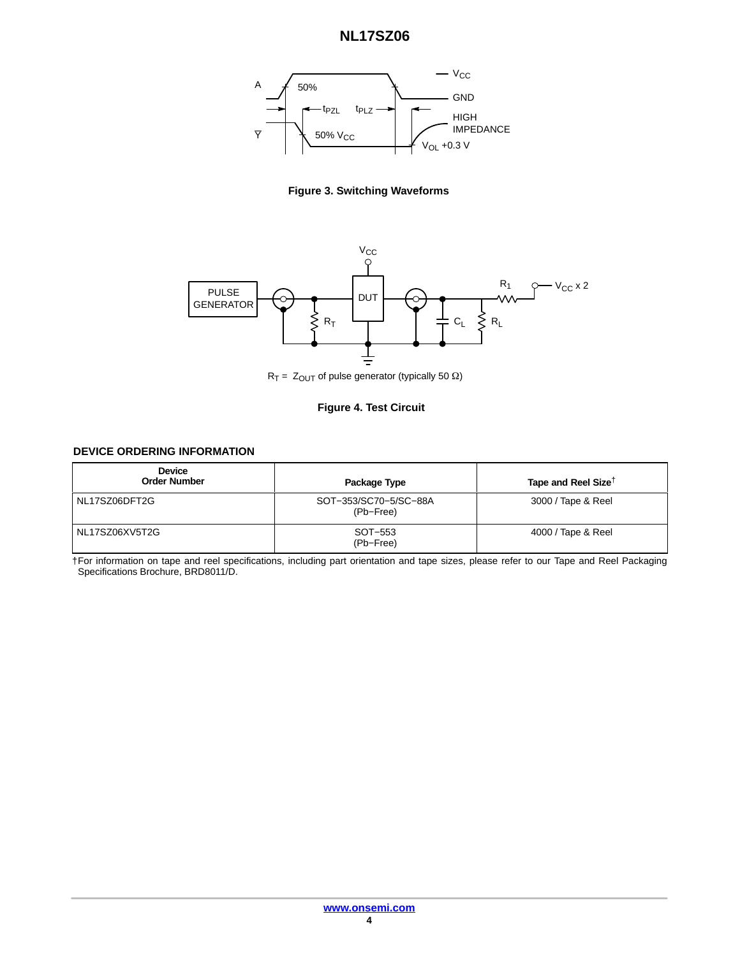# **NL17SZ06**

<span id="page-3-0"></span>





 $R_T = Z_{OUT}$  of pulse generator (typically 50  $\Omega$ )

#### **Figure 4. Test Circuit**

#### **DEVICE ORDERING INFORMATION**

| <b>Device</b><br><b>Order Number</b> | Package Type                       | Tape and Reel Size <sup>†</sup> |
|--------------------------------------|------------------------------------|---------------------------------|
| NL17SZ06DFT2G                        | SOT-353/SC70-5/SC-88A<br>(Pb-Free) | 3000 / Tape & Reel              |
| NL17SZ06XV5T2G                       | SOT-553<br>(Pb-Free)               | 4000 / Tape & Reel              |

†For information on tape and reel specifications, including part orientation and tape sizes, please refer to our Tape and Reel Packaging Specifications Brochure, BRD8011/D.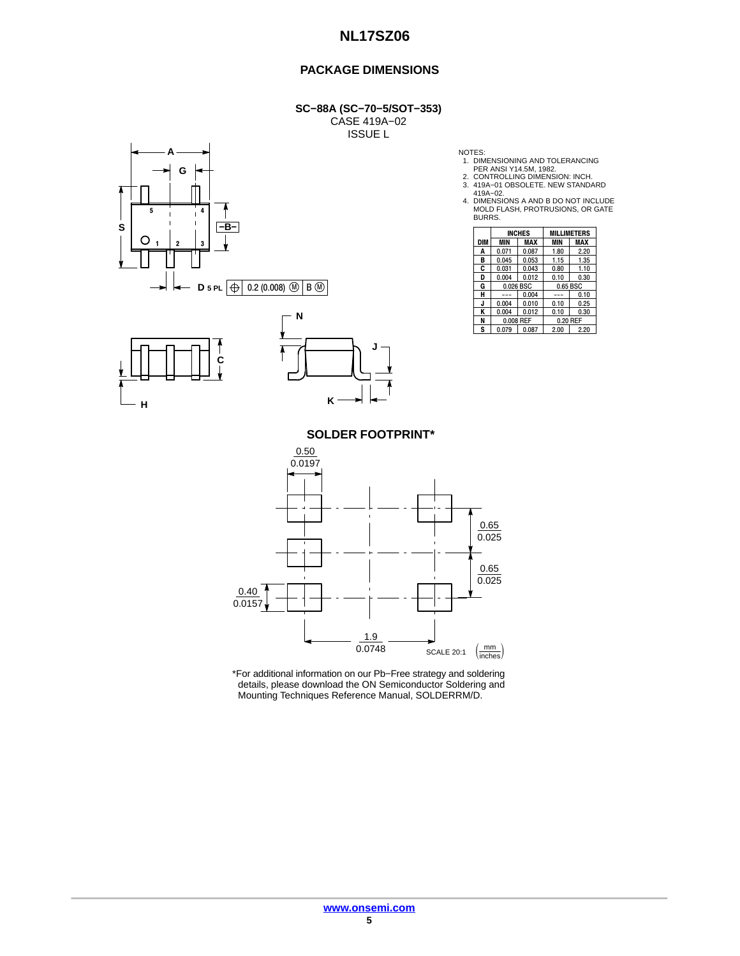## **NL17SZ06**

#### **PACKAGE DIMENSIONS**

**SC−88A (SC−70−5/SOT−353)** CASE 419A−02 ISSUE L







- 
- 
- 
- NOTES:<br>
1. DIMENSIONING AND TOLERANCING<br>
2. CONTROLLING DIMENSION: INCH.<br>
3. 419A−02.<br>
419A−02.<br>
4. DIMENSIONS A AND B DO NOT INCLUDE<br>
MOLD FLASH, PROTRUSIONS, OR GATE<br>
BURRS.

|     |           | <b>INCHES</b> |          | <b>MILLIMETERS</b> |  |
|-----|-----------|---------------|----------|--------------------|--|
| DIM | MIN       | MAX           | MIN      | MAX                |  |
| Α   | 0.071     | 0.087         | 1.80     | 2.20               |  |
| в   | 0.045     | 0.053         | 1.15     | 1.35               |  |
| C   | 0.031     | 0.043         | 0.80     | 1.10               |  |
| D   | 0.004     | 0.012         | 0.10     | 0.30               |  |
| G   |           | 0.026 BSC     |          | 0.65 BSC           |  |
| н   |           | 0.004         |          | 0.10               |  |
| J.  | 0.004     | 0.010         | 0.10     | 0.25               |  |
| ĸ   | 0.004     | 0.012         | 0.10     | 0.30               |  |
| N   | 0.008 REF |               | 0.20 REF |                    |  |
| S   | 0.079     | 0.087         | 2.00     | 2.20               |  |

**SOLDER FOOTPRINT\***



\*For additional information on our Pb−Free strategy and soldering details, please download the ON Semiconductor Soldering and Mounting Techniques Reference Manual, SOLDERRM/D.